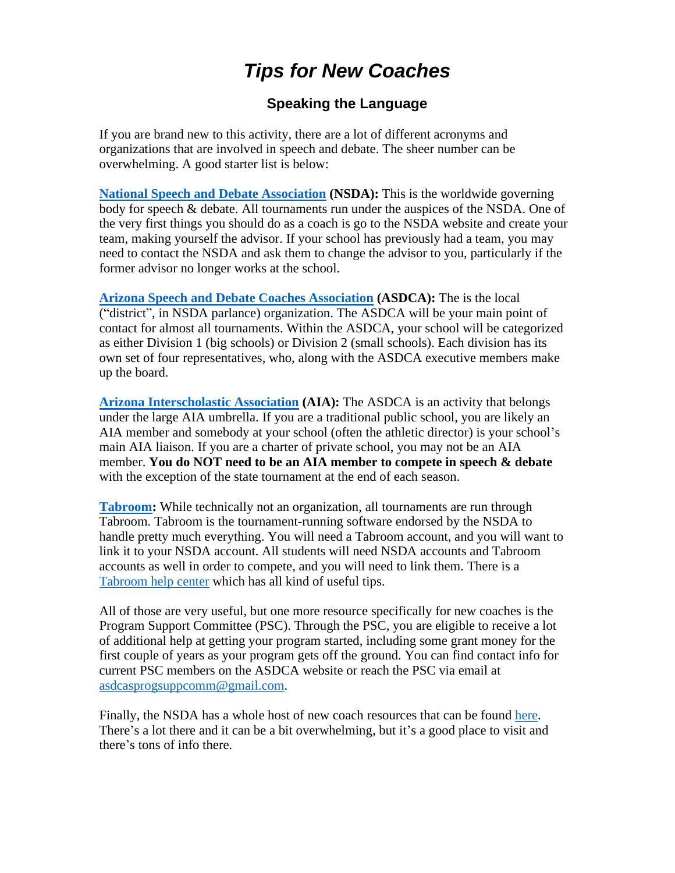# *Tips for New Coaches*

#### **Speaking the Language**

If you are brand new to this activity, there are a lot of different acronyms and organizations that are involved in speech and debate. The sheer number can be overwhelming. A good starter list is below:

**[National Speech and Debate Association](http://www.speechanddebate.org/) (NSDA):** This is the worldwide governing body for speech & debate. All tournaments run under the auspices of the NSDA. One of the very first things you should do as a coach is go to the NSDA website and create your team, making yourself the advisor. If your school has previously had a team, you may need to contact the NSDA and ask them to change the advisor to you, particularly if the former advisor no longer works at the school.

**Arizona Speech and Debate [Coaches Association](http://azforensics.org/) (ASDCA):** The is the local ("district", in NSDA parlance) organization. The ASDCA will be your main point of contact for almost all tournaments. Within the ASDCA, your school will be categorized as either Division 1 (big schools) or Division 2 (small schools). Each division has its own set of four representatives, who, along with the ASDCA executive members make up the board.

**[Arizona Interscholastic Association](http://aiaonline.org/) (AIA):** The ASDCA is an activity that belongs under the large AIA umbrella. If you are a traditional public school, you are likely an AIA member and somebody at your school (often the athletic director) is your school's main AIA liaison. If you are a charter of private school, you may not be an AIA member. **You do NOT need to be an AIA member to compete in speech & debate** with the exception of the state tournament at the end of each season.

**[Tabroom:](http://tabroom.com/)** While technically not an organization, all tournaments are run through Tabroom. Tabroom is the tournament-running software endorsed by the NSDA to handle pretty much everything. You will need a Tabroom account, and you will want to link it to your NSDA account. All students will need NSDA accounts and Tabroom accounts as well in order to compete, and you will need to link them. There is a [Tabroom help center](http://docs.tabroom.com/Main_Page) which has all kind of useful tips.

All of those are very useful, but one more resource specifically for new coaches is the Program Support Committee (PSC). Through the PSC, you are eligible to receive a lot of additional help at getting your program started, including some grant money for the first couple of years as your program gets off the ground. You can find contact info for current PSC members on the ASDCA website or reach the PSC via email at [asdcasprogsuppcomm@gmail.com.](mailto:asdcasprogsuppcomm@gmail.com)

Finally, the NSDA has a whole host of new coach resources that can be found [here.](http://www.speechanddebate.org/getting-started) There's a lot there and it can be a bit overwhelming, but it's a good place to visit and there's tons of info there.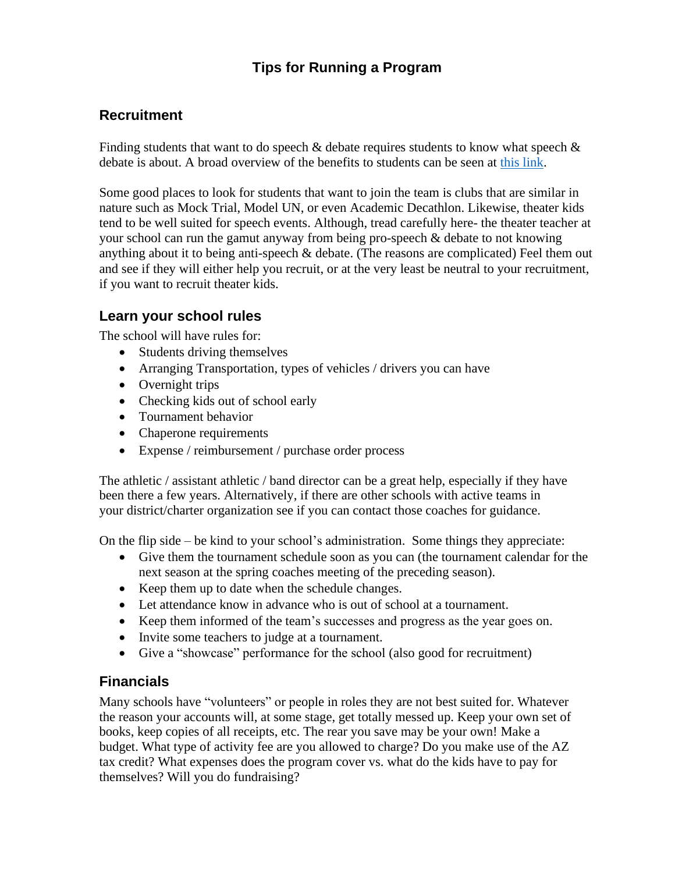# **Tips for Running a Program**

#### **Recruitment**

Finding students that want to do speech  $\&$  debate requires students to know what speech  $\&$ debate is about. A broad overview of the benefits to students can be seen at [this link.](http://www.speechanddebate.org/top-3-reasons)

Some good places to look for students that want to join the team is clubs that are similar in nature such as Mock Trial, Model UN, or even Academic Decathlon. Likewise, theater kids tend to be well suited for speech events. Although, tread carefully here- the theater teacher at your school can run the gamut anyway from being pro-speech & debate to not knowing anything about it to being anti-speech & debate. (The reasons are complicated) Feel them out and see if they will either help you recruit, or at the very least be neutral to your recruitment, if you want to recruit theater kids.

#### **Learn your school rules**

The school will have rules for:

- Students driving themselves
- Arranging Transportation, types of vehicles / drivers you can have
- Overnight trips
- Checking kids out of school early
- Tournament behavior
- Chaperone requirements
- Expense / reimbursement / purchase order process

The athletic / assistant athletic / band director can be a great help, especially if they have been there a few years. Alternatively, if there are other schools with active teams in your district/charter organization see if you can contact those coaches for guidance.

On the flip side – be kind to your school's administration. Some things they appreciate:

- Give them the tournament schedule soon as you can (the tournament calendar for the next season at the spring coaches meeting of the preceding season).
- Keep them up to date when the schedule changes.
- Let attendance know in advance who is out of school at a tournament.
- Keep them informed of the team's successes and progress as the year goes on.
- Invite some teachers to judge at a tournament.
- Give a "showcase" performance for the school (also good for recruitment)

#### **Financials**

Many schools have "volunteers" or people in roles they are not best suited for. Whatever the reason your accounts will, at some stage, get totally messed up. Keep your own set of books, keep copies of all receipts, etc. The rear you save may be your own! Make a budget. What type of activity fee are you allowed to charge? Do you make use of the AZ tax credit? What expenses does the program cover vs. what do the kids have to pay for themselves? Will you do fundraising?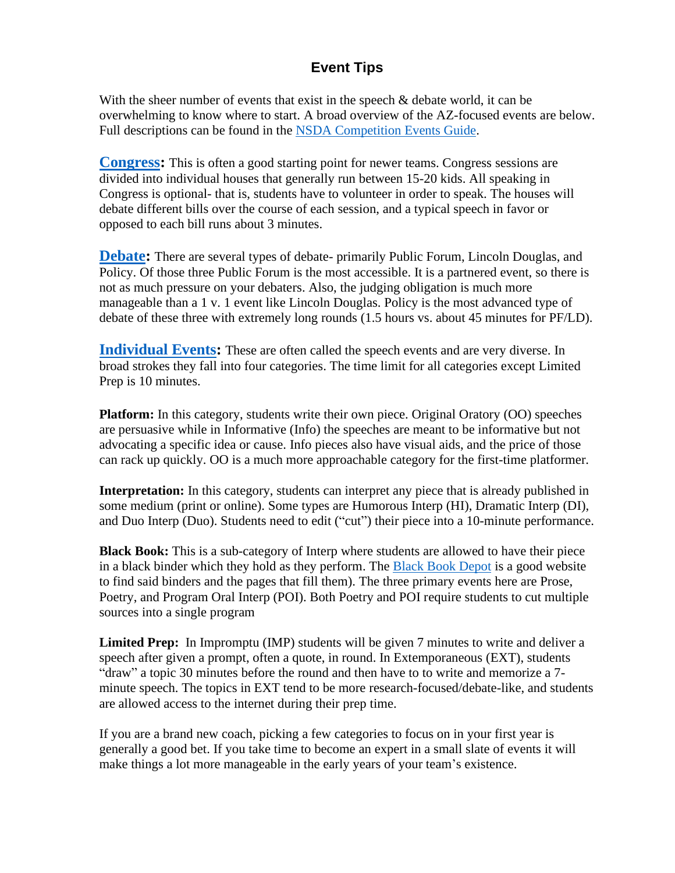#### **Event Tips**

With the sheer number of events that exist in the speech  $\&$  debate world, it can be overwhelming to know where to start. A broad overview of the AZ-focused events are below. Full descriptions can be found in the [NSDA Competition Events Guide.](https://www.speechanddebate.org/competition-events-guide/)

**[Congress:](https://www.speechanddebate.org/congress-printable-guide/)** This is often a good starting point for newer teams. Congress sessions are divided into individual houses that generally run between 15-20 kids. All speaking in Congress is optional- that is, students have to volunteer in order to speak. The houses will debate different bills over the course of each session, and a typical speech in favor or opposed to each bill runs about 3 minutes.

**[Debate:](https://www.speechanddebate.org/coaching-debate/)** There are several types of debate- primarily Public Forum, Lincoln Douglas, and Policy. Of those three Public Forum is the most accessible. It is a partnered event, so there is not as much pressure on your debaters. Also, the judging obligation is much more manageable than a 1 v. 1 event like Lincoln Douglas. Policy is the most advanced type of debate of these three with extremely long rounds (1.5 hours vs. about 45 minutes for PF/LD).

**[Individual Events:](https://www.speechanddebate.org/coaching-speech/)** These are often called the speech events and are very diverse. In broad strokes they fall into four categories. The time limit for all categories except Limited Prep is 10 minutes.

**Platform:** In this category, students write their own piece. Original Oratory (OO) speeches are persuasive while in Informative (Info) the speeches are meant to be informative but not advocating a specific idea or cause. Info pieces also have visual aids, and the price of those can rack up quickly. OO is a much more approachable category for the first-time platformer.

**Interpretation:** In this category, students can interpret any piece that is already published in some medium (print or online). Some types are Humorous Interp (HI), Dramatic Interp (DI), and Duo Interp (Duo). Students need to edit ("cut") their piece into a 10-minute performance.

**Black Book:** This is a sub-category of Interp where students are allowed to have their piece in a black binder which they hold as they perform. The [Black Book Depot](https://www.theblackbookdepot.com/) is a good website to find said binders and the pages that fill them). The three primary events here are Prose, Poetry, and Program Oral Interp (POI). Both Poetry and POI require students to cut multiple sources into a single program

**Limited Prep:** In Impromptu (IMP) students will be given 7 minutes to write and deliver a speech after given a prompt, often a quote, in round. In Extemporaneous (EXT), students "draw" a topic 30 minutes before the round and then have to to write and memorize a 7 minute speech. The topics in EXT tend to be more research-focused/debate-like, and students are allowed access to the internet during their prep time.

If you are a brand new coach, picking a few categories to focus on in your first year is generally a good bet. If you take time to become an expert in a small slate of events it will make things a lot more manageable in the early years of your team's existence.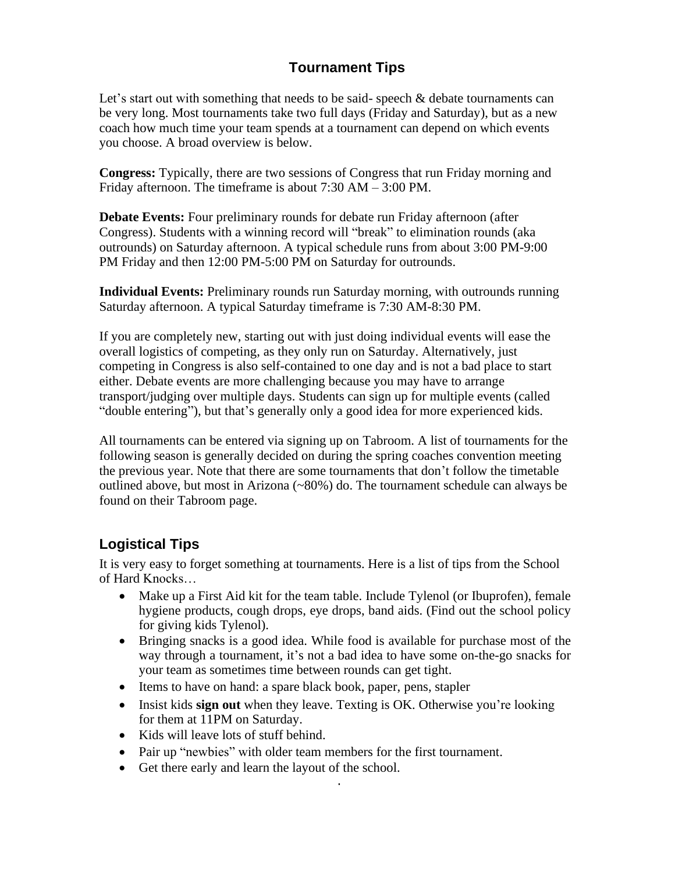## **Tournament Tips**

Let's start out with something that needs to be said-speech  $\&$  debate tournaments can be very long. Most tournaments take two full days (Friday and Saturday), but as a new coach how much time your team spends at a tournament can depend on which events you choose. A broad overview is below.

**Congress:** Typically, there are two sessions of Congress that run Friday morning and Friday afternoon. The timeframe is about 7:30 AM – 3:00 PM.

**Debate Events:** Four preliminary rounds for debate run Friday afternoon (after Congress). Students with a winning record will "break" to elimination rounds (aka outrounds) on Saturday afternoon. A typical schedule runs from about 3:00 PM-9:00 PM Friday and then 12:00 PM-5:00 PM on Saturday for outrounds.

**Individual Events:** Preliminary rounds run Saturday morning, with outrounds running Saturday afternoon. A typical Saturday timeframe is 7:30 AM-8:30 PM.

If you are completely new, starting out with just doing individual events will ease the overall logistics of competing, as they only run on Saturday. Alternatively, just competing in Congress is also self-contained to one day and is not a bad place to start either. Debate events are more challenging because you may have to arrange transport/judging over multiple days. Students can sign up for multiple events (called "double entering"), but that's generally only a good idea for more experienced kids.

All tournaments can be entered via signing up on Tabroom. A list of tournaments for the following season is generally decided on during the spring coaches convention meeting the previous year. Note that there are some tournaments that don't follow the timetable outlined above, but most in Arizona (~80%) do. The tournament schedule can always be found on their Tabroom page.

## **Logistical Tips**

It is very easy to forget something at tournaments. Here is a list of tips from the School of Hard Knocks…

- Make up a First Aid kit for the team table. Include Tylenol (or Ibuprofen), female hygiene products, cough drops, eye drops, band aids. (Find out the school policy for giving kids Tylenol).
- Bringing snacks is a good idea. While food is available for purchase most of the way through a tournament, it's not a bad idea to have some on-the-go snacks for your team as sometimes time between rounds can get tight.
- Items to have on hand: a spare black book, paper, pens, stapler
- Insist kids **sign out** when they leave. Texting is OK. Otherwise you're looking for them at 11PM on Saturday.

·

- Kids will leave lots of stuff behind.
- Pair up "newbies" with older team members for the first tournament.
- Get there early and learn the layout of the school.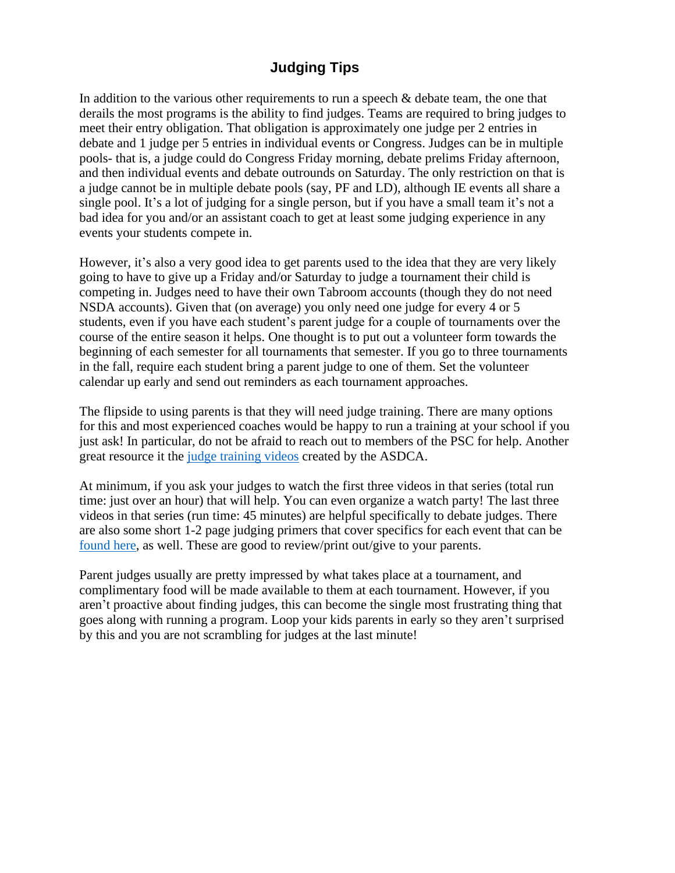## **Judging Tips**

In addition to the various other requirements to run a speech & debate team, the one that derails the most programs is the ability to find judges. Teams are required to bring judges to meet their entry obligation. That obligation is approximately one judge per 2 entries in debate and 1 judge per 5 entries in individual events or Congress. Judges can be in multiple pools- that is, a judge could do Congress Friday morning, debate prelims Friday afternoon, and then individual events and debate outrounds on Saturday. The only restriction on that is a judge cannot be in multiple debate pools (say, PF and LD), although IE events all share a single pool. It's a lot of judging for a single person, but if you have a small team it's not a bad idea for you and/or an assistant coach to get at least some judging experience in any events your students compete in.

However, it's also a very good idea to get parents used to the idea that they are very likely going to have to give up a Friday and/or Saturday to judge a tournament their child is competing in. Judges need to have their own Tabroom accounts (though they do not need NSDA accounts). Given that (on average) you only need one judge for every 4 or 5 students, even if you have each student's parent judge for a couple of tournaments over the course of the entire season it helps. One thought is to put out a volunteer form towards the beginning of each semester for all tournaments that semester. If you go to three tournaments in the fall, require each student bring a parent judge to one of them. Set the volunteer calendar up early and send out reminders as each tournament approaches.

The flipside to using parents is that they will need judge training. There are many options for this and most experienced coaches would be happy to run a training at your school if you just ask! In particular, do not be afraid to reach out to members of the PSC for help. Another great resource it the [judge training videos](https://www.youtube.com/playlist?list=PLb-L7w74pwL1Yb1NW8ZcH85krBT4sWRqH) created by the ASDCA.

At minimum, if you ask your judges to watch the first three videos in that series (total run time: just over an hour) that will help. You can even organize a watch party! The last three videos in that series (run time: 45 minutes) are helpful specifically to debate judges. There are also some short 1-2 page judging primers that cover specifics for each event that can be [found here,](https://drive.google.com/drive/u/3/folders/1rPuVIf-3h95GnYHUyXIHJzfV4Pd9eAHs) as well. These are good to review/print out/give to your parents.

Parent judges usually are pretty impressed by what takes place at a tournament, and complimentary food will be made available to them at each tournament. However, if you aren't proactive about finding judges, this can become the single most frustrating thing that goes along with running a program. Loop your kids parents in early so they aren't surprised by this and you are not scrambling for judges at the last minute!